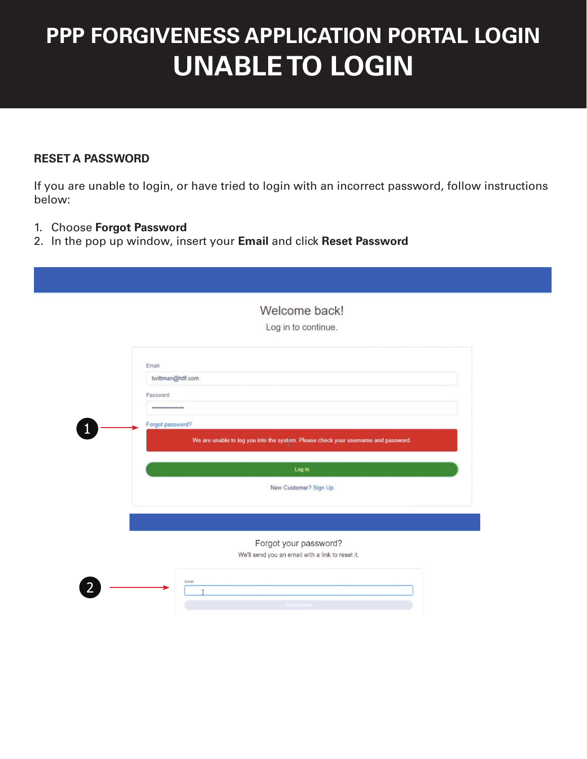## **PPP FORGIVENESS APPLICATION PORTAL LOGIN UNABLE TO LOGIN**

## **RESET A PASSWORD**

If you are unable to login, or have tried to login with an incorrect password, follow instructions below:

- 1. Choose **Forgot Password**
- 2. In the pop up window, insert your **Email** and click **Reset Password**

|                   | Welcome back!<br>Log in to continue.                                               |
|-------------------|------------------------------------------------------------------------------------|
|                   |                                                                                    |
| Email             |                                                                                    |
| twittman@htlf.com |                                                                                    |
| Password          |                                                                                    |
|                   |                                                                                    |
| Forgot password?  |                                                                                    |
|                   | We are unable to log you into the system. Please check your username and password. |
|                   |                                                                                    |
|                   |                                                                                    |
|                   | Log In                                                                             |
|                   | New Customer? Sign Up                                                              |
|                   |                                                                                    |
|                   |                                                                                    |
|                   |                                                                                    |
|                   | Forgot your password?<br>We'll send you an email with a link to reset it.          |
|                   |                                                                                    |
|                   | Email                                                                              |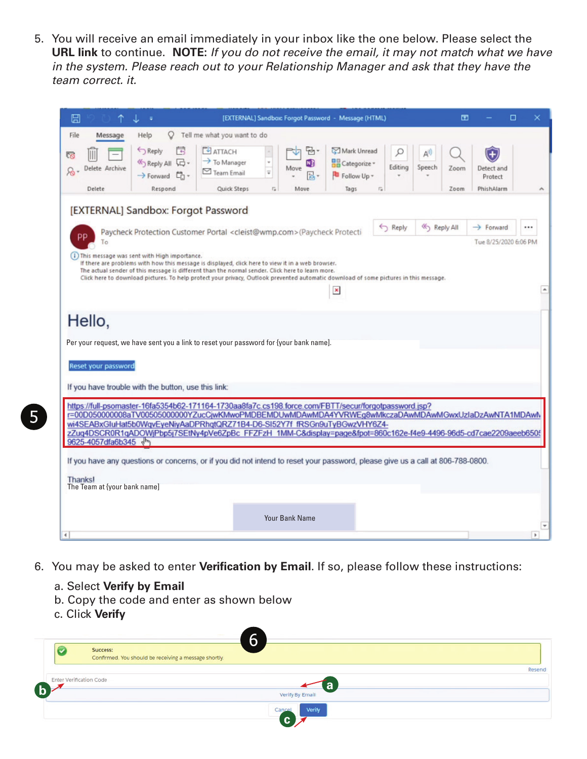5. You will receive an email immediately in your inbox like the one below. Please select the **URL link** to continue. **NOTE:** *If you do not receive the email, it may not match what we have in the system. Please reach out to your Relationship Manager and ask that they have the team correct. it.*

| ⊟                            |                                                                                                                                                                                                                                           |                                                                       |                 | [EXTERNAL] Sandbox: Forgot Password - Message (HTML) |                                                     |            |               | 囨    |                       | □                        |
|------------------------------|-------------------------------------------------------------------------------------------------------------------------------------------------------------------------------------------------------------------------------------------|-----------------------------------------------------------------------|-----------------|------------------------------------------------------|-----------------------------------------------------|------------|---------------|------|-----------------------|--------------------------|
| File<br>Message              | O<br>Help                                                                                                                                                                                                                                 | Tell me what you want to do                                           |                 |                                                      |                                                     |            |               |      |                       |                          |
| l R<br>Delete Archive        | Reply<br>국<br>Reply All D .<br>→ Forward 口·                                                                                                                                                                                               | $F$ <b>ATTACH</b><br>$\rightarrow$ To Manager<br>$\boxdot$ Team Email | ψ               | ٣h<br>N)<br>Move                                     | Mark Unread<br><b>H</b> Categorize -<br>Follow Up - | Editing    | Speech        | Zoom | Detect and<br>Protect |                          |
| Delete                       | Respond                                                                                                                                                                                                                                   | Quick Steps                                                           | $\overline{12}$ | Move                                                 | Tags                                                | $\sqrt{2}$ |               | Zoom | PhishAlarm            | ۸                        |
|                              | [EXTERNAL] Sandbox: Forgot Password                                                                                                                                                                                                       |                                                                       |                 |                                                      |                                                     |            |               |      |                       |                          |
|                              |                                                                                                                                                                                                                                           |                                                                       |                 |                                                      |                                                     | Reply      | <br>Reply All |      | $\rightarrow$ Forward |                          |
| סכ                           | Paycheck Protection Customer Portal <cleist@wmp.com>(Paycheck Protecti</cleist@wmp.com>                                                                                                                                                   |                                                                       |                 |                                                      |                                                     |            |               |      |                       |                          |
|                              |                                                                                                                                                                                                                                           |                                                                       |                 |                                                      |                                                     |            |               |      | Tue 8/25/2020 6:06 PM |                          |
|                              | (i) This message was sent with High importance.<br>If there are problems with how this message is displayed, click here to view it in a web browser.                                                                                      |                                                                       |                 |                                                      |                                                     |            |               |      |                       |                          |
|                              | The actual sender of this message is different than the normal sender. Click here to learn more.<br>Click here to download pictures. To help protect your privacy, Outlook prevented automatic download of some pictures in this message. |                                                                       |                 |                                                      |                                                     |            |               |      |                       |                          |
|                              |                                                                                                                                                                                                                                           |                                                                       |                 |                                                      | $\pmb{\times}$                                      |            |               |      |                       | $\Delta$                 |
|                              |                                                                                                                                                                                                                                           |                                                                       |                 |                                                      |                                                     |            |               |      |                       |                          |
|                              |                                                                                                                                                                                                                                           |                                                                       |                 |                                                      |                                                     |            |               |      |                       |                          |
| Hello,                       |                                                                                                                                                                                                                                           |                                                                       |                 |                                                      |                                                     |            |               |      |                       |                          |
|                              |                                                                                                                                                                                                                                           |                                                                       |                 |                                                      |                                                     |            |               |      |                       |                          |
|                              | Per your request, we have sent you a link to reset your password for {your bank name].                                                                                                                                                    |                                                                       |                 |                                                      |                                                     |            |               |      |                       |                          |
| Reset your password          |                                                                                                                                                                                                                                           |                                                                       |                 |                                                      |                                                     |            |               |      |                       |                          |
|                              |                                                                                                                                                                                                                                           |                                                                       |                 |                                                      |                                                     |            |               |      |                       |                          |
|                              | If you have trouble with the button, use this link:                                                                                                                                                                                       |                                                                       |                 |                                                      |                                                     |            |               |      |                       |                          |
|                              | https://full-psomaster-16fa5354b62-171164-1730aa8fa7c.cs198.force.com/FBTT/secur/forgotpassword.jsp?                                                                                                                                      |                                                                       |                 |                                                      |                                                     |            |               |      |                       |                          |
|                              | r=00D050000008aTV00505000000YZucCjwKMwoPMDBEMDUwMDAwMDA4YVRWEq8wMkczaDAwMDAwMGwxUzIaDzAwNTA1MDAwM                                                                                                                                         |                                                                       |                 |                                                      |                                                     |            |               |      |                       |                          |
|                              | wi4SEABxGluHat5b0WqvEyeNiyAaDPRhqtQRZ71B4-D6-SI52Y7f fRSGn9uTyBGwzVHY6Z4-                                                                                                                                                                 |                                                                       |                 |                                                      |                                                     |            |               |      |                       |                          |
| 9625-4057dfa6b345 dm         | zZuq4DSCR0R1qADOWjPbp5j7SEtNy4pVe6ZpBcFFZFzH 1MM-C&display=page&fpot=860c162e-f4e9-4496-96d5-cd7cae2209aeeb6505                                                                                                                           |                                                                       |                 |                                                      |                                                     |            |               |      |                       |                          |
|                              |                                                                                                                                                                                                                                           |                                                                       |                 |                                                      |                                                     |            |               |      |                       |                          |
|                              | If you have any questions or concerns, or if you did not intend to reset your password, please give us a call at 806-788-0800.                                                                                                            |                                                                       |                 |                                                      |                                                     |            |               |      |                       |                          |
| Thanksl                      |                                                                                                                                                                                                                                           |                                                                       |                 |                                                      |                                                     |            |               |      |                       |                          |
| The Team at {your bank name] |                                                                                                                                                                                                                                           |                                                                       |                 |                                                      |                                                     |            |               |      |                       |                          |
|                              |                                                                                                                                                                                                                                           |                                                                       |                 |                                                      |                                                     |            |               |      |                       |                          |
|                              |                                                                                                                                                                                                                                           |                                                                       |                 |                                                      |                                                     |            |               |      |                       |                          |
|                              |                                                                                                                                                                                                                                           |                                                                       |                 | <b>Your Bank Name</b>                                |                                                     |            |               |      |                       | $\overline{\phantom{a}}$ |
|                              |                                                                                                                                                                                                                                           |                                                                       |                 |                                                      |                                                     |            |               |      |                       | $\mathbf{b}$             |

- 6. You may be asked to enter **Verification by Email**. If so, please follow these instructions:
	- a. Select **Verify by Email**
	- b. Copy the code and enter as shown below
	- c. Click **Verify**

| Resend |
|--------|
|        |
|        |
|        |
|        |

5